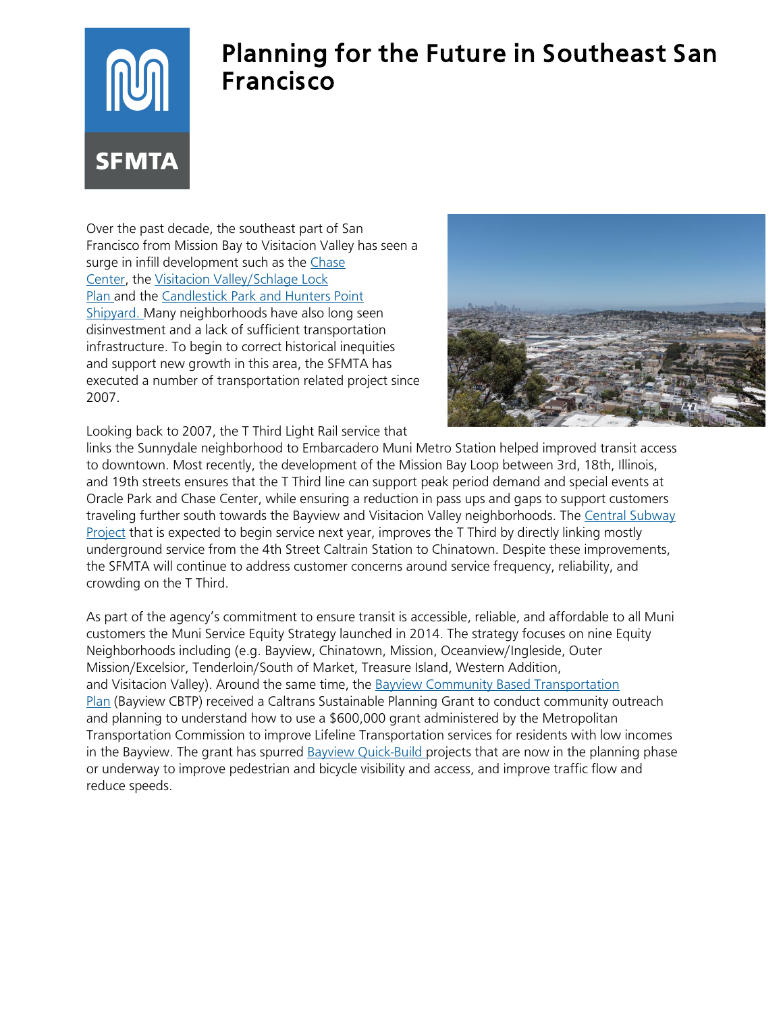# IM **SFMTA**

## Planning for the Future in Southeast San Francisco

Over the past decade, the southeast part of San Francisco from Mission Bay to Visitacion Valley has seen a surge in infill development such as the [Chase](https://www.chasecenter.com/home)  [Center,](https://www.chasecenter.com/home) the Visitacion [Valley/Schlage Lock](https://sfplanning.org/visitacion-valleyschlage-lock-plan)  [Plan](https://sfplanning.org/visitacion-valleyschlage-lock-plan) and the Candlestick Park and Hunters Point [Shipyard.](https://www.sfmta.com/projects/candlestick-pointhunters-point-shipyard) Many neighborhoods have also long seen disinvestment and a lack of sufficient transportation infrastructure. To begin to correct historical inequities and support new growth in this area, the SFMTA has executed a number of transportation related project since 2007.



Looking back to 2007, the T Third Light Rail service that

links the Sunnydale neighborhood to Embarcadero Muni Metro Station helped improved transit access to downtown. Most recently, the development of the Mission Bay Loop between 3rd, 18th, Illinois, and 19th streets ensures that the T Third line can support peak period demand and special events at Oracle Park and Chase Center, while ensuring a reduction in pass ups and gaps to support customers traveling further south towards the Bayview and Visitacion Valley neighborhoods. The [Central Subway](https://www.sfmta.com/projects/central-subway-project)  [Project](https://www.sfmta.com/projects/central-subway-project) that is expected to begin service next year, improves the T Third by directly linking mostly underground service from the 4th Street Caltrain Station to Chinatown. Despite these improvements, the SFMTA will continue to address customer concerns around service frequency, reliability, and crowding on the T Third.

As part of the agency's commitment to ensure transit is accessible, reliable, and affordable to all Muni customers the Muni Service Equity Strategy launched in 2014. The strategy focuses on nine Equity Neighborhoods including (e.g. Bayview, Chinatown, Mission, Oceanview/Ingleside, Outer Mission/Excelsior, Tenderloin/South of Market, Treasure Island, Western Addition, and Visitacion Valley). Around the same time, the [Bayview Community Based Transportation](https://www.sfmta.com/blog/bayview-community-based-transportation-plan)  [Plan](https://www.sfmta.com/blog/bayview-community-based-transportation-plan) (Bayview CBTP) received a Caltrans Sustainable Planning Grant to conduct community outreach and planning to understand how to use a \$600,000 grant administered by the Metropolitan Transportation Commission to improve Lifeline Transportation services for residents with low incomes in the Bayview. The grant has spurred [Bayview Quick-Build](https://www.sfmta.com/projects/bayview-quick-build-transportation-projects) projects that are now in the planning phase or underway to improve pedestrian and bicycle visibility and access, and improve traffic flow and reduce speeds.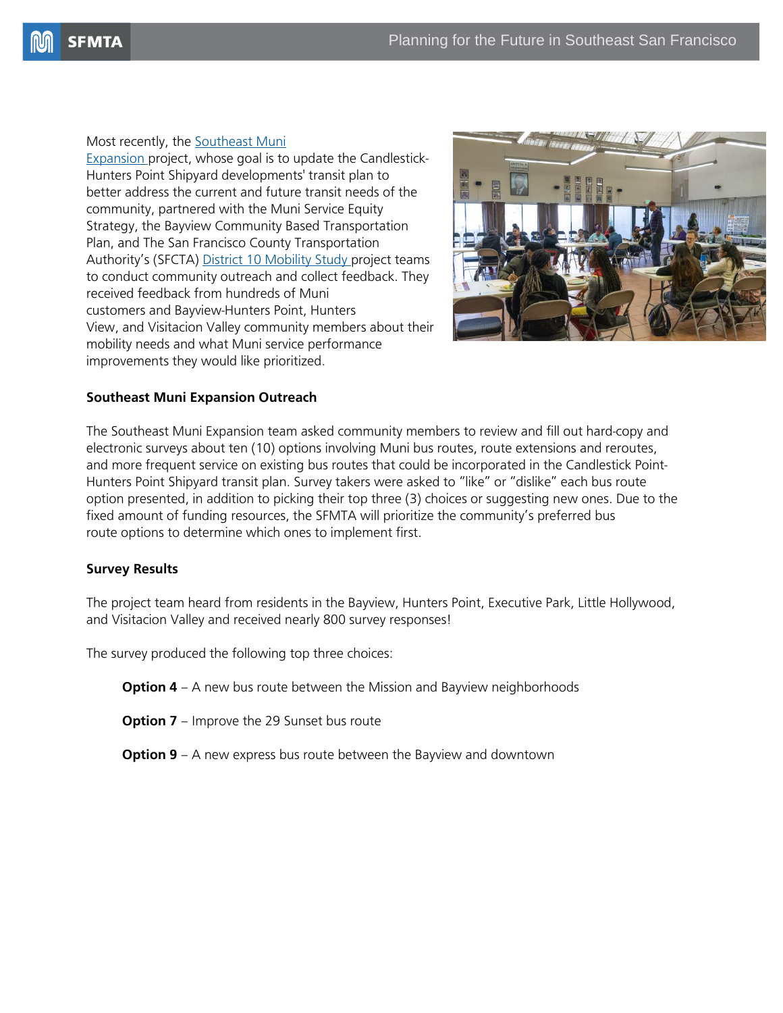#### Most recently, the [Southeast Muni](http://www.sfmta.com/projects/southeast-muni-expansion)

[Expansion](http://www.sfmta.com/projects/southeast-muni-expansion) project, whose goal is to update the Candlestick-Hunters Point Shipyard developments' transit plan to better address the current and future transit needs of the community, partnered with the Muni Service Equity Strategy, the Bayview Community Based Transportation Plan, and The San Francisco County Transportation Authority's (SFCTA) [District 10 Mobility Study](https://www.sfcta.org/projects/district-10-mobility-study) project teams to conduct community outreach and collect feedback. They received feedback from hundreds of Muni customers and Bayview-Hunters Point, Hunters View, and Visitacion Valley community members about their mobility needs and what Muni service performance improvements they would like prioritized.



#### **Southeast Muni Expansion Outreach**

The Southeast Muni Expansion team asked community members to review and fill out hard-copy and electronic surveys about ten (10) options involving Muni bus routes, route extensions and reroutes, and more frequent service on existing bus routes that could be incorporated in the Candlestick Point-Hunters Point Shipyard transit plan. Survey takers were asked to "like" or "dislike" each bus route option presented, in addition to picking their top three (3) choices or suggesting new ones. Due to the fixed amount of funding resources, the SFMTA will prioritize the community's preferred bus route options to determine which ones to implement first.

#### **Survey Results**

The project team heard from residents in the Bayview, Hunters Point, Executive Park, Little Hollywood, and Visitacion Valley and received nearly 800 survey responses!

The survey produced the following top three choices:

**Option 4** – A new bus route between the Mission and Bayview neighborhoods

**Option 7** – Improve the 29 Sunset bus route

**Option 9** – A new express bus route between the Bayview and downtown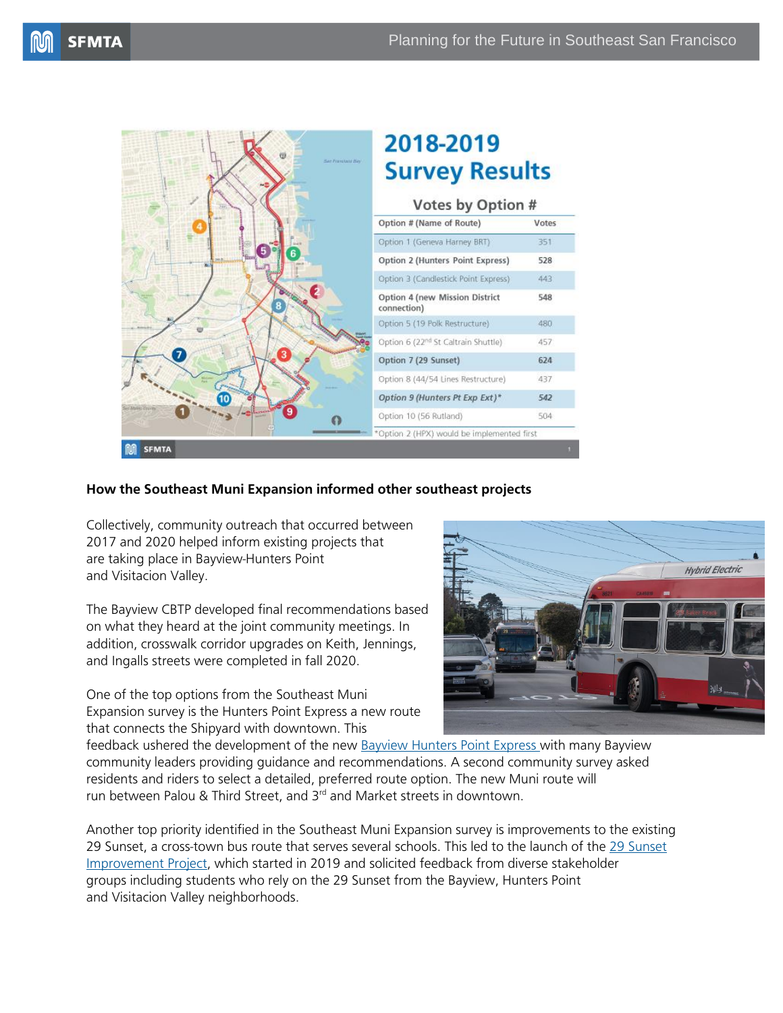Votes

351

528

443

548

480

457

624

437

542

504



### **How the Southeast Muni Expansion informed other southeast projects**

Collectively, community outreach that occurred between 2017 and 2020 helped inform existing projects that are taking place in Bayview-Hunters Point and Visitacion Valley.

The Bayview CBTP developed final recommendations based on what they heard at the joint community meetings. In addition, crosswalk corridor upgrades on Keith, Jennings, and Ingalls streets were completed in fall 2020.

One of the top options from the Southeast Muni Expansion survey is the Hunters Point Express a new route that connects the Shipyard with downtown. This



feedback ushered the development of the new **[Bayview Hunters Point Express](https://www.sfmta.com/projects/bayview-hunters-point-express) with many Bayview** community leaders providing guidance and recommendations. A second community survey asked residents and riders to select a detailed, preferred route option. The new Muni route will run between Palou & Third Street, and 3<sup>rd</sup> and Market streets in downtown.

Another top priority identified in the Southeast Muni Expansion survey is improvements to the existing 29 Sunset, a cross-town bus route that serves several schools. This led to the launch of the [29 Sunset](http://www.sfmta.com/projects/29-sunset-improvement-project)  [Improvement Project,](http://www.sfmta.com/projects/29-sunset-improvement-project) which started in 2019 and solicited feedback from diverse stakeholder groups including students who rely on the 29 Sunset from the Bayview, Hunters Point and Visitacion Valley neighborhoods.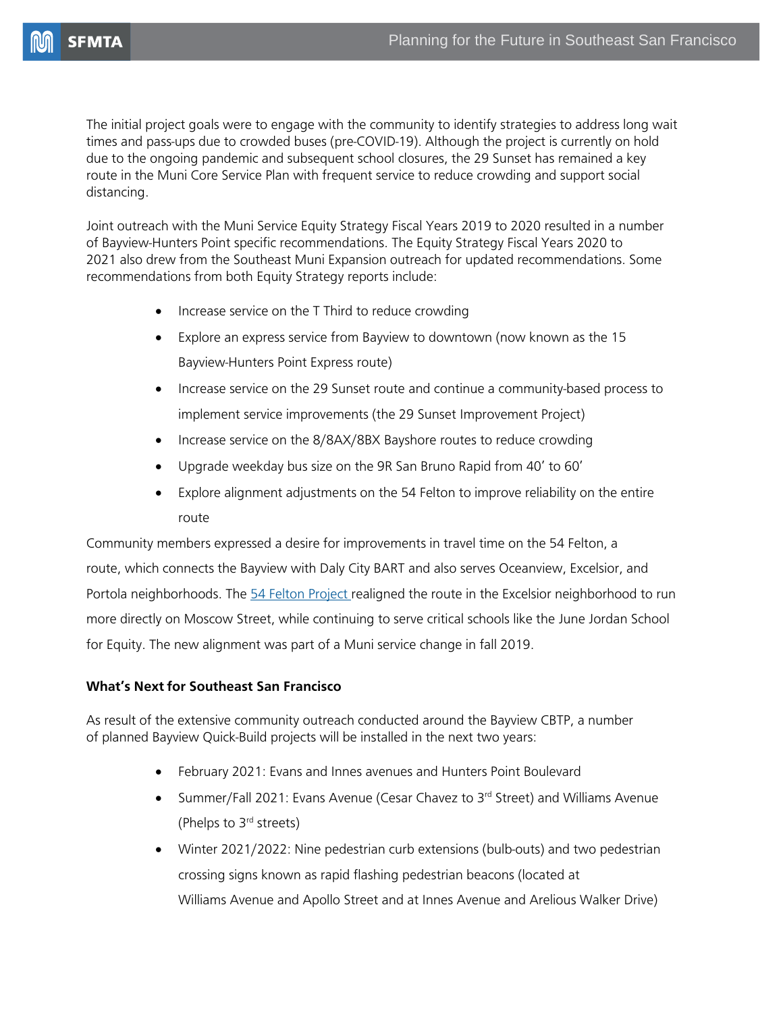The initial project goals were to engage with the community to identify strategies to address long wait times and pass-ups due to crowded buses (pre-COVID-19). Although the project is currently on hold due to the ongoing pandemic and subsequent school closures, the 29 Sunset has remained a key route in the Muni Core Service Plan with frequent service to reduce crowding and support social distancing.

Joint outreach with the Muni Service Equity Strategy Fiscal Years 2019 to 2020 resulted in a number of Bayview-Hunters Point specific recommendations. The Equity Strategy Fiscal Years 2020 to 2021 also drew from the Southeast Muni Expansion outreach for updated recommendations. Some recommendations from both Equity Strategy reports include:

- Increase service on the T Third to reduce crowding
- Explore an express service from Bayview to downtown (now known as the 15 Bayview-Hunters Point Express route)
- Increase service on the 29 Sunset route and continue a community-based process to implement service improvements (the 29 Sunset Improvement Project)
- Increase service on the 8/8AX/8BX Bayshore routes to reduce crowding
- Upgrade weekday bus size on the 9R San Bruno Rapid from 40' to 60'
- Explore alignment adjustments on the 54 Felton to improve reliability on the entire route

Community members expressed a desire for improvements in travel time on the 54 Felton, a route, which connects the Bayview with Daly City BART and also serves Oceanview, Excelsior, and Portola neighborhoods. The [54 Felton Project](https://www.sfmta.com/projects/54-felton-project) realigned the route in the Excelsior neighborhood to run more directly on Moscow Street, while continuing to serve critical schools like the June Jordan School for Equity. The new alignment was part of a Muni service change in fall 2019.

#### **What's Next for Southeast San Francisco**

As result of the extensive community outreach conducted around the Bayview CBTP, a number of planned Bayview Quick-Build projects will be installed in the next two years:

- February 2021: Evans and Innes avenues and Hunters Point Boulevard
- Summer/Fall 2021: Evans Avenue (Cesar Chavez to 3<sup>rd</sup> Street) and Williams Avenue (Phelps to 3<sup>rd</sup> streets)
- Winter 2021/2022: Nine pedestrian curb extensions (bulb-outs) and two pedestrian crossing signs known as rapid flashing pedestrian beacons (located at Williams Avenue and Apollo Street and at Innes Avenue and Arelious Walker Drive)